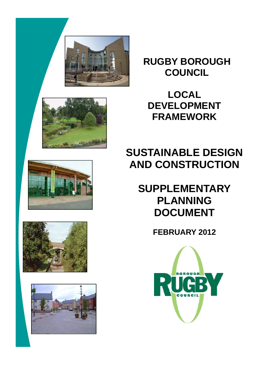



**LOCAL DEVELOPMENT FRAMEWORK** 

# **SUSTAINABLE DESIGN AND CONSTRUCTION**

# **SUPPLEMENTARY PLANNING DOCUMENT**

**FEBRUARY 2012** 









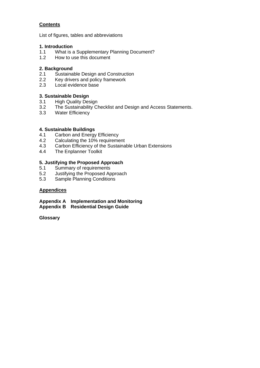# **Contents**

List of figures, tables and abbreviations

# **1. Introduction**

- 1.1 What is a Supplementary Planning Document?
- 1.2 How to use this document

# **2. Background**

- 2.1 Sustainable Design and Construction
- 2.2 Key drivers and policy framework
- 2.3 Local evidence base

# **3. Sustainable Design**

- 3.1 High Quality Design
- 3.2 The Sustainability Checklist and Design and Access Statements.<br>3.3 Water Efficiency
- **Water Efficiency**

# **4. Sustainable Buildings**

- 4.1 Carbon and Energy Efficiency
- 4.2 Calculating the 10% requirement<br>4.3 Carbon Efficiency of the Sustaina
- 4.3 Carbon Efficiency of the Sustainable Urban Extensions<br>4.4 The Enplanner Toolkit
- The Enplanner Toolkit

# **5. Justifying the Proposed Approach**

- 5.1 Summary of requirements
- 5.2 Justifying the Proposed Approach
- 5.3 Sample Planning Conditions

# **Appendices**

**Appendix A Implementation and Monitoring Appendix B Residential Design Guide** 

**Glossary**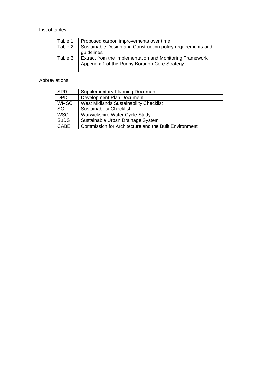# List of tables:

| Table 1 | Proposed carbon improvements over time                                                                      |
|---------|-------------------------------------------------------------------------------------------------------------|
| Table 2 | Sustainable Design and Construction policy requirements and<br>guidelines                                   |
| Table 3 | Extract from the Implementation and Monitoring Framework,<br>Appendix 1 of the Rugby Borough Core Strategy. |

# Abbreviations:

| <b>SPD</b>  | <b>Supplementary Planning Document</b>                       |
|-------------|--------------------------------------------------------------|
| <b>DPD</b>  | Development Plan Document                                    |
| <b>WMSC</b> | West Midlands Sustainability Checklist                       |
| <b>SC</b>   | <b>Sustainability Checklist</b>                              |
| <b>WSC</b>  | Warwickshire Water Cycle Study                               |
| <b>SuDS</b> | Sustainable Urban Drainage System                            |
| CABE        | <b>Commission for Architecture and the Built Environment</b> |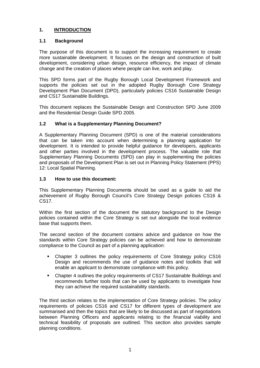# **1. INTRODUCTION**

# **1.1 Background**

The purpose of this document is to support the increasing requirement to create more sustainable development. It focuses on the design and construction of built development, considering urban design, resource efficiency, the impact of climate change and the creation of places where people can live, work and play.

This SPD forms part of the Rugby Borough Local Development Framework and supports the policies set out in the adopted Rugby Borough Core Strategy Development Plan Document (DPD), particularly policies CS16 Sustainable Design and CS17 Sustainable Buildings.

This document replaces the Sustainable Design and Construction SPD June 2009 and the Residential Design Guide SPD 2005.

# **1.2 What is a Supplementary Planning Document?**

A Supplementary Planning Document (SPD) is one of the material considerations that can be taken into account when determining a planning application for development. It is intended to provide helpful guidance for developers, applicants and other parties involved in the development process. The valuable role that Supplementary Planning Documents (SPD) can play in supplementing the policies and proposals of the Development Plan is set out in Planning Policy Statement (PPS) 12: Local Spatial Planning.

# **1.3 How to use this document:**

This Supplementary Planning Documents should be used as a guide to aid the achievement of Rugby Borough Council's Core Strategy Design policies CS16 & CS17.

Within the first section of the document the statutory background to the Design policies contained within the Core Strategy is set out alongside the local evidence base that supports them.

The second section of the document contains advice and guidance on how the standards within Core Strategy policies can be achieved and how to demonstrate compliance to the Council as part of a planning application:

- Chapter 3 outlines the policy requirements of Core Strategy policy CS16 Design and recommends the use of guidance notes and toolkits that will enable an applicant to demonstrate compliance with this policy.
- Chapter 4 outlines the policy requirements of CS17 Sustainable Buildings and recommends further tools that can be used by applicants to investigate how they can achieve the required sustainability standards.

The third section relates to the implementation of Core Strategy policies. The policy requirements of policies CS16 and CS17 for different types of development are summarised and then the topics that are likely to be discussed as part of negotiations between Planning Officers and applicants relating to the financial viability and technical feasibility of proposals are outlined. This section also provides sample planning conditions.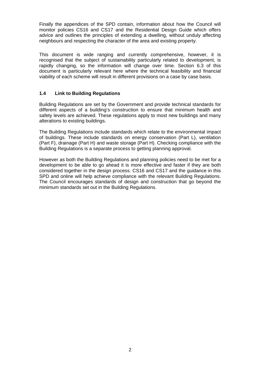Finally the appendices of the SPD contain, information about how the Council will monitor policies CS16 and CS17 and the Residential Design Guide which offers advice and outlines the principles of extending a dwelling, without unduly affecting neighbours and respecting the character of the area and existing property.

This document is wide ranging and currently comprehensive, however, it is recognised that the subject of sustainability particularly related to development, is rapidly changing, so the information will change over time. Section 6.3 of this document is particularly relevant here where the technical feasibility and financial viability of each scheme will result in different provisions on a case by case basis.

# **1.4 Link to Building Regulations**

Building Regulations are set by the Government and provide technical standards for different aspects of a building's construction to ensure that minimum health and safety levels are achieved. These regulations apply to most new buildings and many alterations to existing buildings.

The Building Regulations include standards which relate to the environmental impact of buildings. These include standards on energy conservation (Part L), ventilation (Part F), drainage (Part H) and waste storage (Part H). Checking compliance with the Building Regulations is a separate process to getting planning approval.

However as both the Building Regulations and planning policies need to be met for a development to be able to go ahead it is more effective and faster if they are both considered together in the design process. CS16 and CS17 and the guidance in this SPD and online will help achieve compliance with the relevant Building Regulations. The Council encourages standards of design and construction that go beyond the minimum standards set out in the Building Regulations.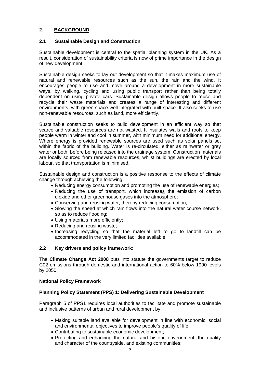# **2. BACKGROUND**

# **2.1 Sustainable Design and Construction**

Sustainable development is central to the spatial planning system in the UK. As a result, consideration of sustainability criteria is now of prime importance in the design of new development.

Sustainable design seeks to lay out development so that it makes maximum use of natural and renewable resources such as the sun, the rain and the wind. It encourages people to use and move around a development in more sustainable ways, by walking, cycling and using public transport rather than being totally dependent on using private cars. Sustainable design allows people to reuse and recycle their waste materials and creates a range of interesting and different environments, with green space well integrated with built space. It also seeks to use non-renewable resources, such as land, more efficiently.

Sustainable construction seeks to build development in an efficient way so that scarce and valuable resources are not wasted. It insulates walls and roofs to keep people warm in winter and cool in summer, with minimum need for additional energy. Where energy is provided renewable sources are used such as solar panels set within the fabric of the building. Water is re-circulated, either as rainwater or grey water or both, before being released into the drainage system. Construction materials are locally sourced from renewable resources, whilst buildings are erected by local labour, so that transportation is minimised.

Sustainable design and construction is a positive response to the effects of climate change through achieving the following:

- Reducing energy consumption and promoting the use of renewable energies;
- Reducing the use of transport, which increases the emission of carbon dioxide and other greenhouse gases into the atmosphere;
- Conserving and reusing water, thereby reducing consumption;
- Slowing the speed at which rain flows into the natural water course network, so as to reduce flooding;
- Using materials more efficiently;
- Reducing and reusing waste;
- Increasing recycling so that the material left to go to landfill can be accommodated in the very limited facilities available.

# **2.2 Key drivers and policy framework:**

The **Climate Change Act 2008** puts into statute the governments target to reduce C02 emissions through domestic and international action to 60% below 1990 levels by 2050.

# **National Policy Framework**

#### **Planning Policy Statement (PPS) 1: Delivering Sustainable Development**

Paragraph 5 of PPS1 requires local authorities to facilitate and promote sustainable and inclusive patterns of urban and rural development by:

- Making suitable land available for development in line with economic, social and environmental objectives to improve people's quality of life;
- Contributing to sustainable economic development;
- Protecting and enhancing the natural and historic environment, the quality and character of the countryside, and existing communities;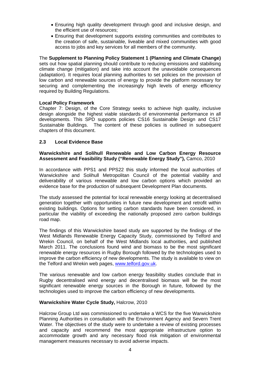- Ensuring high quality development through good and inclusive design, and the efficient use of resources;
- Ensuring that development supports existing communities and contributes to the creation of safe, sustainable, liveable and mixed communities with good access to jobs and key services for all members of the community.

The **Supplement to Planning Policy Statement 1 (Planning and Climate Change)**  sets out how spatial planning should contribute to reducing emissions and stabilising climate change (mitigation) and take into account the unavoidable consequences (adaptation). It requires local planning authorities to set policies on the provision of low carbon and renewable sources of energy to provide the platform necessary for securing and complementing the increasingly high levels of energy efficiency required by Building Regulations.

## **Local Policy Framework**

Chapter 7: Design, of the Core Strategy seeks to achieve high quality, inclusive design alongside the highest viable standards of environmental performance in all developments. This SPD supports policies CS16 Sustainable Design and CS17 Sustainable Buildings. The content of these policies is outlined in subsequent chapters of this document.

# **2.3 Local Evidence Base**

## **Warwickshire and Solihull Renewable and Low Carbon Energy Resource Assessment and Feasibility Study ("Renewable Energy Study"),** Camco, 2010

In accordance with PPS1 and PPS22 this study informed the local authorities of Warwickshire and Solihull Metropolitan Council of the potential viability and deliverability of various renewable and low carbon options which provided an evidence base for the production of subsequent Development Plan documents.

The study assessed the potential for local renewable energy looking at decentralised generation together with opportunities in future new development and retrofit within existing buildings. Options for setting carbon standards have been considered, in particular the viability of exceeding the nationally proposed zero carbon buildings road map.

The findings of this Warwickshire based study are supported by the findings of the West Midlands Renewable Energy Capacity Study, commissioned by Telford and Wrekin Council, on behalf of the West Midlands local authorities, and published March 2011. The conclusions found wind and biomass to be the most significant renewable energy resources in Rugby Borough followed by the technologies used to improve the carbon efficiency of new developments. The study is available to view on the Telford and Wrekin web pages, www.telford.gov.uk.

The various renewable and low carbon energy feasibility studies conclude that in Rugby decentralised wind energy and decentralised biomass will be the most significant renewable energy sources in the Borough in future, followed by the technologies used to improve the carbon efficiency of new developments.

#### **Warwickshire Water Cycle Study,** Halcrow, 2010

Halcrow Group Ltd was commissioned to undertake a WCS for the five Warwickshire Planning Authorities in consultation with the Environment Agency and Severn Trent Water. The objectives of the study were to undertake a review of existing processes and capacity and recommend the most appropriate infrastructure option to accommodate growth and any necessary flood risk mitigation of environmental management measures necessary to avoid adverse impacts.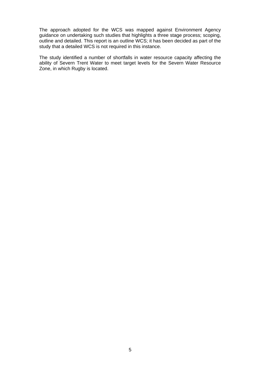The approach adopted for the WCS was mapped against Environment Agency guidance on undertaking such studies that highlights a three stage process; scoping, outline and detailed. This report is an outline WCS; it has been decided as part of the study that a detailed WCS is not required in this instance.

The study identified a number of shortfalls in water resource capacity affecting the ability of Severn Trent Water to meet target levels for the Severn Water Resource Zone, in which Rugby is located.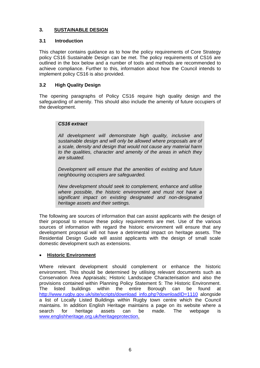# **3. SUSTAINABLE DESIGN**

# **3.1 Introduction**

This chapter contains guidance as to how the policy requirements of Core Strategy policy CS16 Sustainable Design can be met. The policy requirements of CS16 are outlined in the box below and a number of tools and methods are recommended to achieve compliance. Further to this, information about how the Council intends to implement policy CS16 is also provided.

# **3.2 High Quality Design**

The opening paragraphs of Policy CS16 require high quality design and the safeguarding of amenity. This should also include the amenity of future occupiers of the development.

# *CS16 extract*

*All development will demonstrate high quality, inclusive and sustainable design and will only be allowed where proposals are of a scale, density and design that would not cause any material harm to the qualities, character and amenity of the areas in which they are situated.* 

*Development will ensure that the amenities of existing and future neighbouring occupiers are safeguarded.* 

*New development should seek to complement, enhance and utilise where possible, the historic environment and must not have a significant impact on existing designated and non-designated heritage assets and their settings.*

The following are sources of information that can assist applicants with the design of their proposal to ensure these policy requirements are met. Use of the various sources of information with regard the historic environment will ensure that any development proposal will not have a detrimental impact on heritage assets. The Residential Design Guide will assist applicants with the design of small scale domestic development such as extensions.

# • **Historic Environment**

Where relevant development should complement or enhance the historic environment. This should be determined by utilising relevant documents such as Conservation Area Appraisals; Historic Landscape Characterisation and also the provisions contained within Planning Policy Statement 5: The Historic Environment. The listed buildings within the entire Borough can be found at http://www.rugby.gov.uk/site/scripts/download\_info.php?downloadID=1110 alongside a list of Locally Listed Buildings within Rugby town centre which the Council maintains. In addition English Heritage maintains a page on its website where a search for heritage assets can be made. The webpage is www.englishheritage.org.uk/heritageprotection.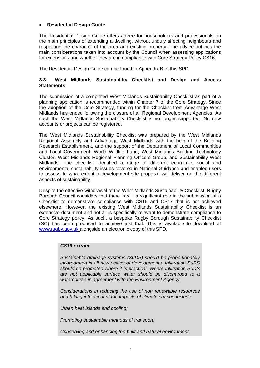# • **Residential Design Guide**

The Residential Design Guide offers advice for householders and professionals on the main principles of extending a dwelling, without unduly affecting neighbours and respecting the character of the area and existing property. The advice outlines the main considerations taken into account by the Council when assessing applications for extensions and whether they are in compliance with Core Strategy Policy CS16.

The Residential Design Guide can be found in Appendix B of this SPD.

# **3.3 West Midlands Sustainability Checklist and Design and Access Statements**

The submission of a completed West Midlands Sustainability Checklist as part of a planning application is recommended within Chapter 7 of the Core Strategy. Since the adoption of the Core Strategy, funding for the Checklist from Advantage West Midlands has ended following the closure of all Regional Development Agencies. As such the West Midlands Sustainability Checklist is no longer supported. No new accounts or projects can be registered.

The West Midlands Sustainability Checklist was prepared by the West Midlands Regional Assembly and Advantage West Midlands with the help of the Building Research Establishment, and the support of the Department of Local Communities and Local Government, World Wildlife Fund, West Midlands Building Technology Cluster, West Midlands Regional Planning Officers Group, and Sustainability West Midlands. The checklist identified a range of different economic, social and environmental sustainability issues covered in National Guidance and enabled users to assess to what extent a development site proposal will deliver on the different aspects of sustainability.

Despite the effective withdrawal of the West Midlands Sustainability Checklist, Rugby Borough Council considers that there is still a significant role in the submission of a Checklist to demonstrate compliance with CS16 and CS17 that is not achieved elsewhere. However, the existing West Midlands Sustainability Checklist is an extensive document and not all is specifically relevant to demonstrate compliance to Core Strategy policy. As such, a bespoke Rugby Borough Sustainability Checklist (SC) has been produced to achieve just that. This is available to download at www.rugby.gov.uk alongside an electronic copy of this SPD.

# *CS16 extract*

*Sustainable drainage systems (SuDS) should be proportionately incorporated in all new scales of developments. Infiltration SuDS should be promoted where it is practical. Where infiltration SuDS are not applicable surface water should be discharged to a watercourse in agreement with the Environment Agency.* 

*Considerations in reducing the use of non renewable resources and taking into account the impacts of climate change include:* 

*Urban heat islands and cooling;* 

*Promoting sustainable methods of transport;* 

*Conserving and enhancing the built and natural environment.*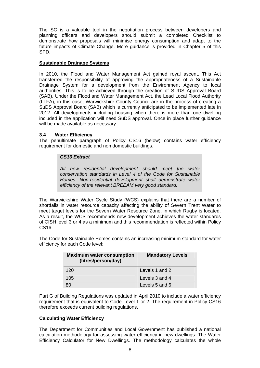The SC is a valuable tool in the negotiation process between developers and planning officers and developers should submit a completed Checklist to demonstrate how proposals will minimise energy consumption and adapt to the future impacts of Climate Change. More guidance is provided in Chapter 5 of this SPD.

# **Sustainable Drainage Systems**

In 2010, the Flood and Water Management Act gained royal ascent. This Act transferred the responsibility of approving the appropriateness of a Sustainable Drainage System for a development from the Environment Agency to local authorities. This is to be achieved through the creation of SUDS Approval Board (SAB). Under the Flood and Water Management Act, the Lead Local Flood Authority (LLFA), in this case, Warwickshire County Council are in the process of creating a SuDS Approval Board (SAB) which is currently anticipated to be implemented late in 2012. All developments including housing when there is more than one dwelling included in the application will need SuDS approval. Once in place further guidance will be made available as necessary.

# **3.4 Water Efficiency**

The penultimate paragraph of Policy CS16 (below) contains water efficiency requirement for domestic and non domestic buildings.

## *CS16 Extract*

All new residential development should meet the water *conservation standards in Level 4 of the Code for Sustainable Homes. Non-residential development shall demonstrate water efficiency of the relevant BREEAM very good standard.* 

The Warwickshire Water Cycle Study (WCS) explains that there are a number of shortfalls in water resource capacity affecting the ability of Severn Trent Water to meet target levels for the Severn Water Resource Zone, in which Rugby is located. As a result, the WCS recommends new development achieves the water standards of CfSH level 3 or 4 as a minimum and this recommendation is reflected within Policy CS16.

The Code for Sustainable Homes contains an increasing minimum standard for water efficiency for each Code level:

| <b>Maximum water consumption</b><br>(litres/person/day) | <b>Mandatory Levels</b> |  |
|---------------------------------------------------------|-------------------------|--|
| 120                                                     | Levels 1 and 2          |  |
| 105                                                     | Levels 3 and 4          |  |
| 8۲                                                      | Levels 5 and 6          |  |

Part G of Building Regulations was updated in April 2010 to include a water efficiency requirement that is equivalent to Code Level 1 or 2. The requirement in Policy CS16 therefore exceeds current building regulations.

# **Calculating Water Efficiency**

The Department for Communities and Local Government has published a national calculation methodology for assessing water efficiency in new dwellings: The Water Efficiency Calculator for New Dwellings. The methodology calculates the whole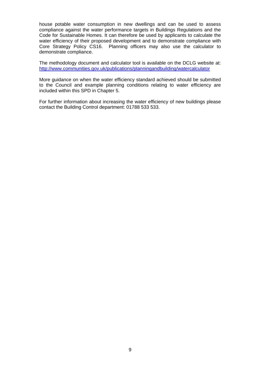house potable water consumption in new dwellings and can be used to assess compliance against the water performance targets in Buildings Regulations and the Code for Sustainable Homes. It can therefore be used by applicants to calculate the water efficiency of their proposed development and to demonstrate compliance with Core Strategy Policy CS16. Planning officers may also use the calculator to demonstrate compliance.

The methodology document and calculator tool is available on the DCLG website at: http://www.communities.gov.uk/publications/planningandbuilding/watercalculator

More guidance on when the water efficiency standard achieved should be submitted to the Council and example planning conditions relating to water efficiency are included within this SPD in Chapter 5.

For further information about increasing the water efficiency of new buildings please contact the Building Control department: 01788 533 533.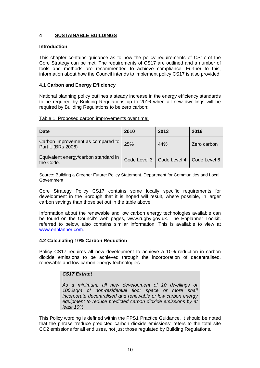# **4 SUSTAINABLE BUILDINGS**

## **Introduction**

This chapter contains guidance as to how the policy requirements of CS17 of the Core Strategy can be met. The requirements of CS17 are outlined and a number of tools and methods are recommended to achieve compliance. Further to this, information about how the Council intends to implement policy CS17 is also provided.

# **4.1 Carbon and Energy Efficiency**

National planning policy outlines a steady increase in the energy efficiency standards to be required by Building Regulations up to 2016 when all new dwellings will be required by Building Regulations to be zero carbon:

|  |  | Table 1: Proposed carbon improvements over time: |  |  |
|--|--|--------------------------------------------------|--|--|
|--|--|--------------------------------------------------|--|--|

| <b>Date</b>                                            | 2010 | 2013                                       | 2016        |
|--------------------------------------------------------|------|--------------------------------------------|-------------|
| Carbon improvement as compared to<br>Part L (BRs 2006) | 25%  | 44%                                        | Zero carbon |
| Equivalent energy/carbon standard in<br>the Code.      |      | Code Level 3   Code Level 4   Code Level 6 |             |

Source: Building a Greener Future: Policy Statement. Department for Communities and Local Government

Core Strategy Policy CS17 contains some locally specific requirements for development in the Borough that it is hoped will result, where possible, in larger carbon savings than those set out in the table above.

Information about the renewable and low carbon energy technologies available can be found on the Council's web pages, www.rugby.gov.uk. The Enplanner Toolkit, referred to below, also contains similar information. This is available to view at www.enplanner.com.

## **4.2 Calculating 10% Carbon Reduction**

Policy CS17 requires all new development to achieve a 10% reduction in carbon dioxide emissions to be achieved through the incorporation of decentralised, renewable and low carbon energy technologies.

#### *CS17 Extract*

*As a minimum, all new development of 10 dwellings or 1000sqm of non-residential floor space or more shall incorporate decentralised and renewable or low carbon energy equipment to reduce predicted carbon dioxide emissions by at least 10%.*

This Policy wording is defined within the PPS1 Practice Guidance. It should be noted that the phrase "reduce predicted carbon dioxide emissions" refers to the total site CO2 emissions for all end uses, not just those regulated by Building Regulations.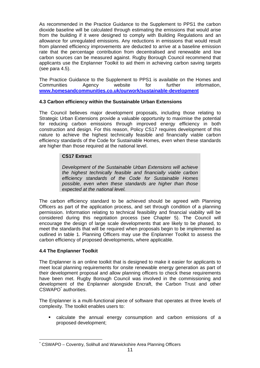As recommended in the Practice Guidance to the Supplement to PPS1 the carbon dioxide baseline will be calculated through estimating the emissions that would arise from the building if it were designed to comply with Building Regulations and an allowance for unregulated emissions. Any reductions in emissions that would result from planned efficiency improvements are deducted to arrive at a baseline emission rate that the percentage contribution from decentralised and renewable and low carbon sources can be measured against. Rugby Borough Council recommend that applicants use the Enplanner Toolkit to aid them in achieving carbon saving targets (see para 4.5).

The Practice Guidance to the Supplement to PPS1 is available on the Homes and Communities Agency website for further information, **www.homesandcommunities.co.uk/ourwork/sustainable-development**

# **4.3 Carbon efficiency within the Sustainable Urban Extensions**

The Council believes major development proposals, including those relating to Strategic Urban Extensions provide a valuable opportunity to maximise the potential for reducing carbon emissions through improved energy efficiency in both construction and design. For this reason, Policy CS17 requires development of this nature to achieve the highest technically feasible and financially viable carbon efficiency standards of the Code for Sustainable Homes, even when these standards are higher than those required at the national level.

# **CS17 Extract**

*Development of the Sustainable Urban Extensions will achieve the highest technically feasible and financially viable carbon efficiency standards of the Code for Sustainable Homes possible, even when these standards are higher than those expected at the national level.* 

The carbon efficiency standard to be achieved should be agreed with Planning Officers as part of the application process, and set through condition of a planning permission. Information relating to technical feasibility and financial viability will be considered during this negotiation process (see Chapter 5). The Council will encourage the design of large scale developments that are likely to be phased, to meet the standards that will be required when proposals begin to be implemented as outlined in table 1. Planning Officers may use the Enplanner Toolkit to assess the carbon efficiency of proposed developments, where applicable.

# **4.4 The Enplanner Toolkit**

The Enplanner is an online toolkit that is designed to make it easier for applicants to meet local planning requirements for onsite renewable energy generation as part of their development proposal and allow planning officers to check these requirements have been met. Rugby Borough Council was involved in the commissioning and development of the Enplanner alongside Encraft, the Carbon Trust and other CSWAPO\* authorities.

The Enplanner is a multi-functional piece of software that operates at three levels of complexity. The toolkit enables users to:

 calculate the annual energy consumption and carbon emissions of a proposed development;

 $\overline{a}$ \* CSWAPO – Coventry, Solihull and Warwickshire Area Planning Officers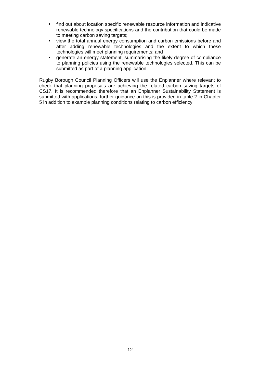- find out about location specific renewable resource information and indicative renewable technology specifications and the contribution that could be made to meeting carbon saving targets;
- **•** view the total annual energy consumption and carbon emissions before and after adding renewable technologies and the extent to which these technologies will meet planning requirements; and
- generate an energy statement, summarising the likely degree of compliance to planning policies using the renewable technologies selected. This can be submitted as part of a planning application.

Rugby Borough Council Planning Officers will use the Enplanner where relevant to check that planning proposals are achieving the related carbon saving targets of CS17. It is recommended therefore that an Enplanner Sustainability Statement is submitted with applications, further guidance on this is provided in table 2 in Chapter 5 in addition to example planning conditions relating to carbon efficiency.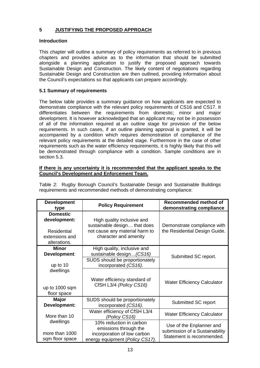# **5 JUSTIFYING THE PROPOSED APPROACH**

# **Introduction**

This chapter will outline a summary of policy requirements as referred to in previous chapters and provides advice as to the information that should be submitted alongside a planning application to justify the proposed approach towards Sustainable Design and Construction. The likely content of negotiations regarding Sustainable Design and Construction are then outlined, providing information about the Council's expectations so that applicants can prepare accordingly.

# **5.1 Summary of requirements**

The below table provides a summary guidance on how applicants are expected to demonstrate compliance with the relevant policy requirements of CS16 and CS17. It differentiates between the requirements from domestic; minor and major development. It is however acknowledged that an applicant may not be in possession of all of the information required at an outline stage for provision of the below requirements. In such cases, if an outline planning approval is granted, it will be accompanied by a condition which requires demonstration of compliance of the relevant policy requirements at the detailed stage. Furthermore in the case of other requirements such as the water efficiency requirements, it is highly likely that this will be demonstrated through compliance with a condition. Sample conditions are in section 5.3.

## **If there is any uncertainty it is recommended that the applicant speaks to the Council's Development and Enforcement Team.**

Table 2: Rugby Borough Council's Sustainable Design and Sustainable Buildings requirements and recommended methods of demonstrating compliance:

| <b>Development</b><br>type                                                       | <b>Policy Requirement</b>                                                                                             | <b>Recommended method of</b><br>demonstrating compliance                                |
|----------------------------------------------------------------------------------|-----------------------------------------------------------------------------------------------------------------------|-----------------------------------------------------------------------------------------|
| <b>Domestic</b><br>development:<br>Residential<br>extensions and<br>alterations. | High quality inclusive and<br>sustainable design that does<br>not cause any material harm to<br>character and amenity | Demonstrate compliance with<br>the Residential Design Guide.                            |
| <b>Minor</b><br>Development:<br>up to 10                                         | High quality, inclusive and<br>sustainable design (CS16)<br>SUDS should be proportionately<br>incorporated (CS16).    | Submitted SC report.                                                                    |
| dwellings<br>up to 1000 sqm<br>floor space                                       | Water efficiency standard of<br>CfSH L3/4 (Policy CS16)                                                               | <b>Water Efficiency Calculator</b>                                                      |
| <b>Major</b><br>Development:                                                     | SUDS should be proportionately<br>incorporated (CS16).                                                                | Submitted SC report                                                                     |
| More than 10                                                                     | Water efficiency of CfSH L3/4<br>(Policy CS16)                                                                        | <b>Water Efficiency Calculator</b>                                                      |
| dwellings<br>more than 1000<br>sqm floor space                                   | 10% reduction in carbon<br>emissions through the<br>incorporation of low carbon<br>energy equipment (Policy CS17).    | Use of the Enplanner and<br>submission of a Sustainability<br>Statement is recommended. |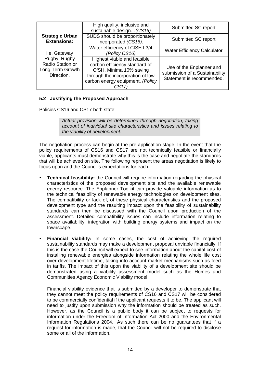|                                                                    | High quality, inclusive and<br>sustainable design(CS16)                                                                                                                 | Submitted SC report                                                                     |
|--------------------------------------------------------------------|-------------------------------------------------------------------------------------------------------------------------------------------------------------------------|-----------------------------------------------------------------------------------------|
| <b>Strategic Urban</b><br><b>Extensions:</b>                       | SUDS should be proportionately<br>incorporated (CS16).                                                                                                                  | Submitted SC report                                                                     |
| i.e. Gateway                                                       | Water efficiency of CfSH L3/4<br>(Policy CS16)                                                                                                                          | <b>Water Efficiency Calculator</b>                                                      |
| Rugby, Rugby<br>Radio Station or<br>Long Term Growth<br>Direction. | Highest viable and feasible<br>carbon efficiency standard of<br>CfSH. Minima 10% saving<br>through the incorporation of low<br>carbon energy equipment. (Policy<br>CS17 | Use of the Enplanner and<br>submission of a Sustainability<br>Statement is recommended. |

# **5.2 Justifying the Proposed Approach**

Policies CS16 and CS17 both state:

*Actual provision will be determined through negotiation, taking account of individual site characteristics and issues relating to the viability of development.* 

The negotiation process can begin at the pre-application stage. In the event that the policy requirements of CS16 and CS17 are not technically feasible or financially viable, applicants must demonstrate why this is the case and negotiate the standards that will be achieved on site. The following represent the areas negotiation is likely to focus upon and the Council's expectations for each.

- **Technical feasibility:** the Council will require information regarding the physical characteristics of the proposed development site and the available renewable energy resource. The Enplanner Toolkit can provide valuable information as to the technical feasibility of renewable energy technologies on development sites. The compatibility or lack of, of these physical characteristics and the proposed development type and the resulting impact upon the feasibility of sustainability standards can then be discussed with the Council upon production of the assessment. Detailed compatibility issues can include information relating to space availability, integration with building energy systems and impact on the townscape.
- **Financial viability:** In some cases, the cost of achieving the required sustainability standards may make a development proposal unviable financially. If this is the case the Council will expect to see information about the capital cost of installing renewable energies alongside information relating the whole life cost over development lifetime, taking into account market mechanisms such as feed in tariffs. The impact of this upon the viability of a development site should be demonstrated using a viability assessment model such as the Homes and Communities Agency Economic Viability model.

Financial viability evidence that is submitted by a developer to demonstrate that they cannot meet the policy requirements of CS16 and CS17 will be considered to be commercially confidential if the applicant requests it to be. The applicant will need to justify upon submission why the information should be treated as such. However, as the Council is a public body it can be subject to requests for information under the Freedom of Information Act 2000 and the Environmental Information Regulations 2004. As such there can be no guarantees that if a request for information is made, that the Council will not be required to disclose some or all of the information.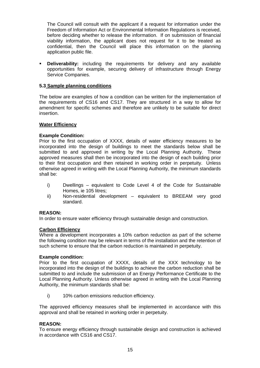The Council will consult with the applicant if a request for information under the Freedom of Information Act or Environmental Information Regulations is received, before deciding whether to release the information. If on submission of financial viability information, the applicant does not request for it to be treated as confidential, then the Council will place this information on the planning application public file.

 **Deliverability:** including the requirements for delivery and any available opportunities for example, securing delivery of infrastructure through Energy Service Companies.

# **5.3 Sample planning conditions**

The below are examples of how a condition can be written for the implementation of the requirements of CS16 and CS17. They are structured in a way to allow for amendment for specific schemes and therefore are unlikely to be suitable for direct insertion.

## **Water Efficiency**

## **Example Condition:**

Prior to the first occupation of XXXX, details of water efficiency measures to be incorporated into the design of buildings to meet the standards below shall be submitted to and approved in writing by the Local Planning Authority. These approved measures shall then be incorporated into the design of each building prior to their first occupation and then retained in working order in perpetuity. Unless otherwise agreed in writing with the Local Planning Authority, the minimum standards shall be:

- i) Dwellings equivalent to Code Level 4 of the Code for Sustainable Homes, ie 105 litres;
- ii) Non-residential development equivalent to BREEAM very good standard.

#### **REASON:**

In order to ensure water efficiency through sustainable design and construction.

# **Carbon Efficiency**

Where a development incorporates a 10% carbon reduction as part of the scheme the following condition may be relevant in terms of the installation and the retention of such scheme to ensure that the carbon reduction is maintained in perpetuity.

#### **Example condition:**

Prior to the first occupation of XXXX, details of the XXX technology to be incorporated into the design of the buildings to achieve the carbon reduction shall be submitted to and include the submission of an Energy Performance Certificate to the Local Planning Authority. Unless otherwise agreed in writing with the Local Planning Authority, the minimum standards shall be:

i) 10% carbon emissions reduction efficiency.

The approved efficiency measures shall be implemented in accordance with this approval and shall be retained in working order in perpetuity.

#### **REASON:**

To ensure energy efficiency through sustainable design and construction is achieved in accordance with CS16 and CS17.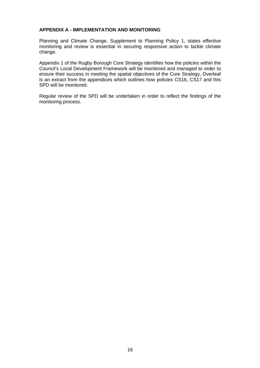## **APPENDIX A - IMPLEMENTATION AND MONITORING**

Planning and Climate Change, Supplement to Planning Policy 1, states effective monitoring and review is essential in securing responsive action to tackle climate change.

Appendix 1 of the Rugby Borough Core Strategy identifies how the policies within the Council's Local Development Framework will be monitored and managed to order to ensure their success in meeting the spatial objectives of the Core Strategy. Overleaf is an extract from the appendices which outlines how policies CS16, CS17 and this SPD will be monitored.

Regular review of the SPD will be undertaken in order to reflect the findings of the monitoring process.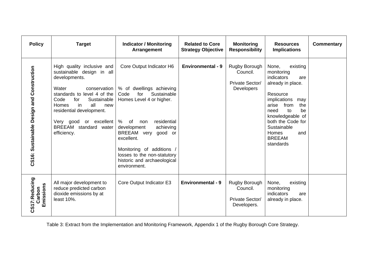| <b>Policy</b>                             | <b>Target</b>                                                                                                                                                                                                                                                                             | <b>Indicator / Monitoring</b><br>Arrangement                                                                                                                                                                                                                                                                                           | <b>Related to Core</b><br><b>Strategy Objective</b> | <b>Monitoring</b><br>Responsibility                               | <b>Resources</b><br><b>Implications</b>                                                                                                                                                                                                                        | <b>Commentary</b> |
|-------------------------------------------|-------------------------------------------------------------------------------------------------------------------------------------------------------------------------------------------------------------------------------------------------------------------------------------------|----------------------------------------------------------------------------------------------------------------------------------------------------------------------------------------------------------------------------------------------------------------------------------------------------------------------------------------|-----------------------------------------------------|-------------------------------------------------------------------|----------------------------------------------------------------------------------------------------------------------------------------------------------------------------------------------------------------------------------------------------------------|-------------------|
| CS16: Sustainable Design and Construction | High quality inclusive and<br>sustainable design in all<br>developments.<br>Water<br>conservation<br>standards to level 4 of the<br>Code<br>Sustainable<br>for<br>in<br>all<br>Homes<br>new<br>residential development.<br>Very good or excellent<br>BREEAM standard water<br>efficiency. | Core Output Indicator H6<br>% of dwellings achieving<br>Code<br>for<br>Sustainable<br>Homes Level 4 or higher.<br>%<br>of<br>residential<br>non<br>achieving<br>development<br><b>BREEAM</b><br>good or<br>very<br>excellent.<br>Monitoring of additions<br>losses to the non-statutory<br>historic and archaeological<br>environment. | <b>Environmental - 9</b>                            | Rugby Borough<br>Council.<br>Private Sector/<br><b>Developers</b> | None,<br>existing<br>monitoring<br>indicators<br>are<br>already in place.<br>Resource<br>implications<br>may<br>arise<br>from<br>the<br>need<br>to<br>be<br>knowledgeable of<br>both the Code for<br>Sustainable<br>Homes<br>and<br><b>BREEAM</b><br>standards |                   |
| CS17:Reducing<br>Emissions<br>Carbon      | All major development to<br>reduce predicted carbon<br>dioxide emissions by at<br>least 10%.                                                                                                                                                                                              | Core Output Indicator E3                                                                                                                                                                                                                                                                                                               | <b>Environmental - 9</b>                            | Rugby Borough<br>Council.<br>Private Sector/<br>Developers.       | None,<br>existing<br>monitoring<br>indicators<br>are<br>already in place.                                                                                                                                                                                      |                   |

Table 3: Extract from the Implementation and Monitoring Framework, Appendix 1 of the Rugby Borough Core Strategy.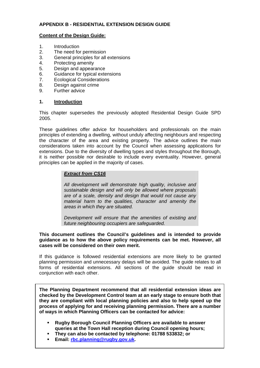# **APPENDIX B - RESIDENTIAL EXTENSION DESIGN GUIDE**

## **Content of the Design Guide:**

- 1. Introduction
- 2. The need for permission
- 3. General principles for all extensions
- 4. Protecting amenity
- 5. Design and appearance
- 6. Guidance for typical extensions
- 7. Ecological Considerations
- 8. Design against crime
- 9. Further advice

#### **1. Introduction**

This chapter supersedes the previously adopted Residential Design Guide SPD 2005.

These guidelines offer advice for householders and professionals on the main principles of extending a dwelling, without unduly affecting neighbours and respecting the character of the area and existing property. The advice outlines the main considerations taken into account by the Council when assessing applications for extensions. Due to the diversity of dwelling types and styles throughout the Borough, it is neither possible nor desirable to include every eventuality. However, general principles can be applied in the majority of cases.

# *Extract from CS16*

*All development will demonstrate high quality, inclusive and sustainable design and will only be allowed where proposals are of a scale, density and design that would not cause any material harm to the qualities, character and amenity the areas in which they are situated.* 

*Development will ensure that the amenities of existing and future neighbouring occupiers are safeguarded.*

## **This document outlines the Council's guidelines and is intended to provide guidance as to how the above policy requirements can be met. However, all cases will be considered on their own merit.**

If this guidance is followed residential extensions are more likely to be granted planning permission and unnecessary delays will be avoided. The guide relates to all forms of residential extensions. All sections of the guide should be read in conjunction with each other.

**The Planning Department recommend that all residential extension ideas are checked by the Development Control team at an early stage to ensure both that they are compliant with local planning policies and also to help speed up the process of applying for and receiving planning permission. There are a number of ways in which Planning Officers can be contacted for advice:** 

- **Rugby Borough Council Planning Officers are available to answer queries at the Town Hall reception during Council opening hours;**
- **They can also be contacted by telephone: 01788 533832; or**
- **Email: rbc.planning@rugby.gov.uk.**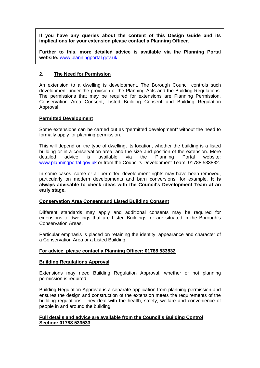**If you have any queries about the content of this Design Guide and its implications for your extension please contact a Planning Officer.** 

**Further to this, more detailed advice is available via the Planning Portal website:** www.planningportal.gov.uk

# **2. The Need for Permission**

An extension to a dwelling is development. The Borough Council controls such development under the provision of the Planning Acts and the Building Regulations. The permissions that may be required for extensions are Planning Permission, Conservation Area Consent, Listed Building Consent and Building Regulation Approval

# **Permitted Development**

Some extensions can be carried out as "permitted development" without the need to formally apply for planning permission.

This will depend on the type of dwelling, its location, whether the building is a listed building or in a conservation area, and the size and position of the extension. More detailed advice is available via the Planning Portal website: www.planningportal.gov.uk or from the Council's Development Team: 01788 533832.

In some cases, some or all permitted development rights may have been removed, particularly on modern developments and barn conversions, for example. **It is always advisable to check ideas with the Council's Development Team at an early stage.** 

# **Conservation Area Consent and Listed Building Consent**

Different standards may apply and additional consents may be required for extensions to dwellings that are Listed Buildings, or are situated in the Borough's Conservation Areas.

Particular emphasis is placed on retaining the identity, appearance and character of a Conservation Area or a Listed Building.

# **For advice, please contact a Planning Officer: 01788 533832**

#### **Building Regulations Approval**

Extensions may need Building Regulation Approval, whether or not planning permission is required.

Building Regulation Approval is a separate application from planning permission and ensures the design and construction of the extension meets the requirements of the building regulations. They deal with the health, safety, welfare and convenience of people in and around the building.

## **Full details and advice are available from the Council's Building Control Section: 01788 533533**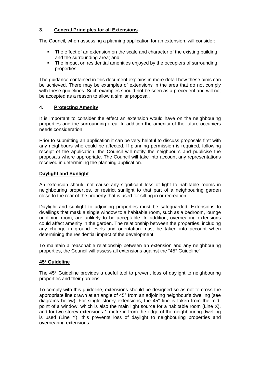# **3. General Principles for all Extensions**

The Council, when assessing a planning application for an extension, will consider:

- The effect of an extension on the scale and character of the existing building and the surrounding area; and
- The impact on residential amenities enjoyed by the occupiers of surrounding properties

The guidance contained in this document explains in more detail how these aims can be achieved. There may be examples of extensions in the area that do not comply with these guidelines. Such examples should not be seen as a precedent and will not be accepted as a reason to allow a similar proposal.

# **4. Protecting Amenity**

It is important to consider the effect an extension would have on the neighbouring properties and the surrounding area. In addition the amenity of the future occupiers needs consideration.

Prior to submitting an application it can be very helpful to discuss proposals first with any neighbours who could be affected. If planning permission is required, following receipt of the application, the Council will notify the neighbours and publicise the proposals where appropriate. The Council will take into account any representations received in determining the planning application.

# **Daylight and Sunlight**

An extension should not cause any significant loss of light to habitable rooms in neighbouring properties, or restrict sunlight to that part of a neighbouring garden close to the rear of the property that is used for sitting in or recreation.

Daylight and sunlight to adjoining properties must be safeguarded. Extensions to dwellings that mask a single window to a habitable room, such as a bedroom, lounge or dining room, are unlikely to be acceptable. In addition, overbearing extensions could affect amenity in the garden. The relationship between the properties, including any change in ground levels and orientation must be taken into account when determining the residential impact of the development.

To maintain a reasonable relationship between an extension and any neighbouring properties, the Council will assess all extensions against the "45° Guideline".

# **45° Guideline**

The 45° Guideline provides a useful tool to prevent loss of daylight to neighbouring properties and their gardens.

To comply with this guideline, extensions should be designed so as not to cross the appropriate line drawn at an angle of 45° from an adjoining neighbour's dwelling (see diagrams below). For single storey extensions, the 45° line is taken from the midpoint of a window, which is also the main light source for a habitable room (Line X), and for two-storey extensions 1 metre in from the edge of the neighbouring dwelling is used (Line Y); this prevents loss of daylight to neighbouring properties and overbearing extensions.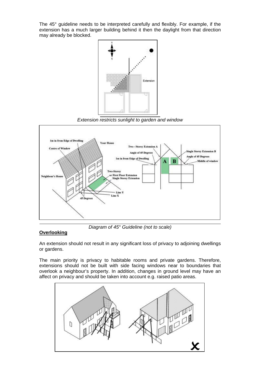The 45° guideline needs to be interpreted carefully and flexibly. For example, if the extension has a much larger building behind it then the daylight from that direction may already be blocked.



*Extension restricts sunlight to garden and window* 



*Diagram of 45° Guideline (not to scale)* 

# **Overlooking**

An extension should not result in any significant loss of privacy to adjoining dwellings or gardens.

The main priority is privacy to habitable rooms and private gardens. Therefore, extensions should not be built with side facing windows near to boundaries that overlook a neighbour's property. In addition, changes in ground level may have an affect on privacy and should be taken into account e.g. raised patio areas.

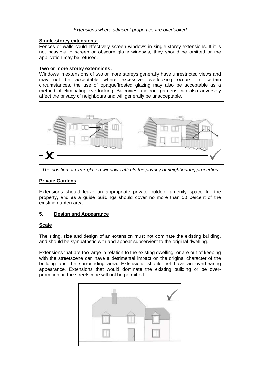## **Single-storey extensions:**

Fences or walls could effectively screen windows in single-storey extensions. If it is not possible to screen or obscure glaze windows, they should be omitted or the application may be refused.

## **Two or more storey extensions:**

Windows in extensions of two or more storeys generally have unrestricted views and may not be acceptable where excessive overlooking occurs. In certain circumstances, the use of opaque/frosted glazing may also be acceptable as a method of eliminating overlooking. Balconies and roof gardens can also adversely affect the privacy of neighbours and will generally be unacceptable.



*The position of clear-glazed windows affects the privacy of neighbouring properties* 

# **Private Gardens**

Extensions should leave an appropriate private outdoor amenity space for the property, and as a guide buildings should cover no more than 50 percent of the existing garden area.

# **5. Design and Appearance**

# **Scale**

The siting, size and design of an extension must not dominate the existing building, and should be sympathetic with and appear subservient to the original dwelling.

Extensions that are too large in relation to the existing dwelling, or are out of keeping with the streetscene can have a detrimental impact on the original character of the building and the surrounding area. Extensions should not have an overbearing appearance. Extensions that would dominate the existing building or be overprominent in the streetscene will not be permitted.

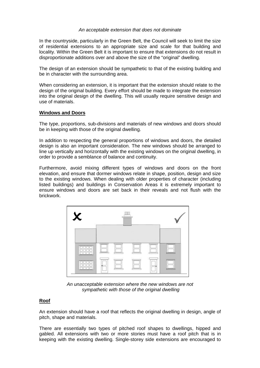## *An acceptable extension that does not dominate*

In the countryside, particularly in the Green Belt, the Council will seek to limit the size of residential extensions to an appropriate size and scale for that building and locality. Within the Green Belt it is important to ensure that extensions do not result in disproportionate additions over and above the size of the "original" dwelling.

The design of an extension should be sympathetic to that of the existing building and be in character with the surrounding area.

When considering an extension, it is important that the extension should relate to the design of the original building. Every effort should be made to integrate the extension into the original design of the dwelling. This will usually require sensitive design and use of materials.

## **Windows and Doors**

The type, proportions, sub-divisions and materials of new windows and doors should be in keeping with those of the original dwelling.

In addition to respecting the general proportions of windows and doors, the detailed design is also an important consideration. The new windows should be arranged to line up vertically and horizontally with the existing windows on the original dwelling, in order to provide a semblance of balance and continuity.

Furthermore, avoid mixing different types of windows and doors on the front elevation, and ensure that dormer windows relate in shape, position, design and size to the existing windows. When dealing with older properties of character (including listed buildings) and buildings in Conservation Areas it is extremely important to ensure windows and doors are set back in their reveals and not flush with the brickwork.



*An unacceptable extension where the new windows are not sympathetic with those of the original dwelling* 

# **Roof**

An extension should have a roof that reflects the original dwelling in design, angle of pitch, shape and materials.

There are essentially two types of pitched roof shapes to dwellings, hipped and gabled. All extensions with two or more stories must have a roof pitch that is in keeping with the existing dwelling. Single-storey side extensions are encouraged to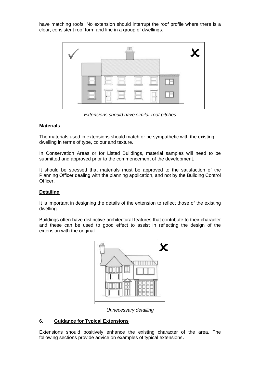have matching roofs. No extension should interrupt the roof profile where there is a clear, consistent roof form and line in a group of dwellings.



*Extensions should have similar roof pitches* 

## **Materials**

The materials used in extensions should match or be sympathetic with the existing dwelling in terms of type, colour and texture.

In Conservation Areas or for Listed Buildings, material samples will need to be submitted and approved prior to the commencement of the development.

It should be stressed that materials must be approved to the satisfaction of the Planning Officer dealing with the planning application, and not by the Building Control Officer.

# **Detailing**

It is important in designing the details of the extension to reflect those of the existing dwelling.

Buildings often have distinctive architectural features that contribute to their character and these can be used to good effect to assist in reflecting the design of the extension with the original.



*Unnecessary detailing* 

# **6. Guidance for Typical Extensions**

Extensions should positively enhance the existing character of the area. The following sections provide advice on examples of typical extensions**.**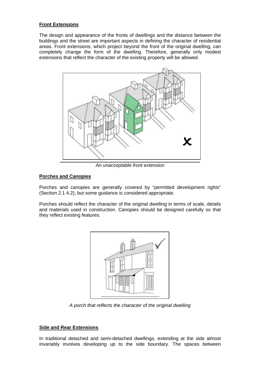# **Front Extensions**

The design and appearance of the fronts of dwellings and the distance between the buildings and the street are important aspects in defining the character of residential areas. Front extensions, which project beyond the front of the original dwelling, can completely change the form of the dwelling. Therefore, generally only modest extensions that reflect the character of the existing property will be allowed.



*An unacceptable front extension* 

# **Porches and Canopies**

Porches and canopies are generally covered by "permitted development rights" (Section 2.1 4.2), but some guidance is considered appropriate.

Porches should reflect the character of the original dwelling in terms of scale, details and materials used in construction. Canopies should be designed carefully so that they reflect existing features.



*A porch that reflects the character of the original dwelling* 

# **Side and Rear Extensions**

In traditional detached and semi-detached dwellings, extending at the side almost invariably involves developing up to the side boundary. The spaces between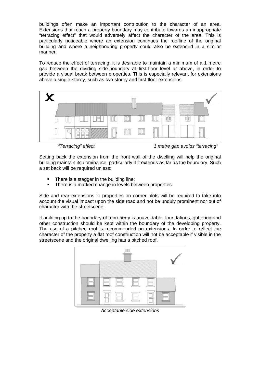buildings often make an important contribution to the character of an area. Extensions that reach a property boundary may contribute towards an inappropriate "terracing effect" that would adversely affect the character of the area. This is particularly noticeable where an extension continues the roofline of the original building and where a neighbouring property could also be extended in a similar manner.

To reduce the effect of terracing, it is desirable to maintain a minimum of a 1 metre gap between the dividing side-boundary at first-floor level or above, in order to provide a visual break between properties. This is especially relevant for extensions above a single-storey, such as two-storey and first-floor extensions.



*"Terracing" effect 1 metre gap avoids "terracing"* 

Setting back the extension from the front wall of the dwelling will help the original building maintain its dominance, particularly if it extends as far as the boundary. Such a set back will be required unless:

- There is a stagger in the building line;
- **There is a marked change in levels between properties.**

Side and rear extensions to properties on corner plots will be required to take into account the visual impact upon the side road and not be unduly prominent nor out of character with the streetscene.

If building up to the boundary of a property is unavoidable, foundations, guttering and other construction should be kept within the boundary of the developing property. The use of a pitched roof is recommended on extensions. In order to reflect the character of the property a flat roof construction will not be acceptable if visible in the streetscene and the original dwelling has a pitched roof.



*Acceptable side extensions*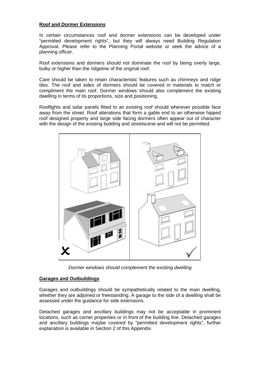# **Roof and Dormer Extensions**

In certain circumstances roof and dormer extensions can be developed under "permitted development rights", but they will always need Building Regulation Approval. Please refer to the Planning Portal website or seek the advice of a planning officer.

Roof extensions and dormers should not dominate the roof by being overly large, bulky or higher than the ridgeline of the original roof.

Care should be taken to retain characteristic features such as chimneys and ridge tiles. The roof and sides of dormers should be covered in materials to match or compliment the main roof. Dormer windows should also complement the existing dwelling in terms of its proportions, size and positioning.

Rooflights and solar panels fitted to an existing roof should wherever possible face away from the street. Roof alterations that form a gable end to an otherwise hipped roof designed property and large side facing dormers often appear out of character with the design of the existing building and streetscene and will not be permitted.



*Dormer windows should complement the existing dwelling* 

# **Garages and Outbuildings**

Garages and outbuildings should be sympathetically related to the main dwelling, whether they are adjoined or freestanding. A garage to the side of a dwelling shall be assessed under the guidance for side extensions.

Detached garages and ancillary buildings may not be acceptable in prominent locations, such as corner properties or in front of the building line. Detached garages and ancillary buildings maybe covered by "permitted development rights", further explanation is available in Section 2 of this Appendix.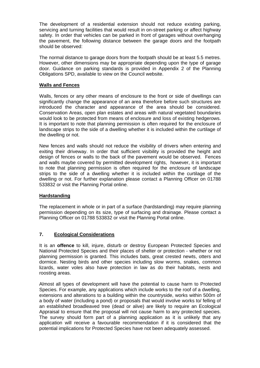The development of a residential extension should not reduce existing parking, servicing and turning facilities that would result in on-street parking or affect highway safety. In order that vehicles can be parked in front of garages without overhanging the pavement, the following distance between the garage doors and the footpath should be observed:

The normal distance to garage doors from the footpath should be at least 5.5 metres. However, other dimensions may be appropriate depending upon the type of garage door. Guidance on parking standards is provided in Appendix 2 of the Planning Obligations SPD, available to view on the Council website.

## **Walls and Fences**

Walls, fences or any other means of enclosure to the front or side of dwellings can significantly change the appearance of an area therefore before such structures are introduced the character and appearance of the area should be considered. Conservation Areas, open plan estates and areas with natural vegetated boundaries would look to be protected from means of enclosure and loss of existing hedgerows. It is important to note that planning permission is often required for the enclosure of landscape strips to the side of a dwelling whether it is included within the curtilage of the dwelling or not.

New fences and walls should not reduce the visibility of drivers when entering and exiting their driveway. In order that sufficient visibility is provided the height and design of fences or walls to the back of the pavement would be observed. Fences and walls maybe covered by permitted development rights, however, it is important to note that planning permission is often required for the enclosure of landscape strips to the side of a dwelling whether it is included within the curtilage of the dwelling or not. For further explanation please contact a Planning Officer on 01788 533832 or visit the Planning Portal online.

# **Hardstanding**

The replacement in whole or in part of a surface (hardstanding) may require planning permission depending on its size, type of surfacing and drainage. Please contact a Planning Officer on 01788 533832 or visit the Planning Portal online.

# **7. Ecological Considerations**

It is an **offence** to kill, injure, disturb or destroy European Protected Species and National Protected Species and their places of shelter or protection - whether or not planning permission is granted. This includes bats, great crested newts, otters and dormice. Nesting birds and other species including slow worms, snakes, common lizards, water voles also have protection in law as do their habitats, nests and roosting areas.

Almost all types of development will have the potential to cause harm to Protected Species. For example, any applications which include works to the roof of a dwelling, extensions and alterations to a building within the countryside, works within 500m of a body of water (including a pond) or proposals that would involve works to/ felling of an established broadleaved tree (dead or alive) are likely to require an Ecological Appraisal to ensure that the proposal will not cause harm to any protected species. The survey should form part of a planning application as it is unlikely that any application will receive a favourable recommendation if it is considered that the potential implications for Protected Species have not been adequately assessed.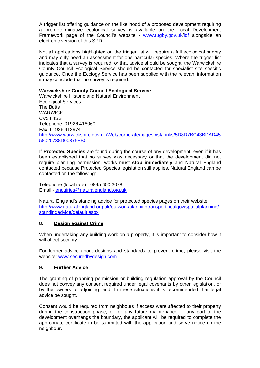A trigger list offering guidance on the likelihood of a proposed development requiring a pre-determinative ecological survey is available on the Local Development Framework page of the Council's website - www.rugby.gov.uk/ldf alongside an electronic version of this SPD.

Not all applications highlighted on the trigger list will require a full ecological survey and may only need an assessment for one particular species. Where the trigger list indicates that a survey is required, or that advice should be sought, the Warwickshire County Council Ecological Service should be contacted for specialist site specific guidance. Once the Ecology Service has been supplied with the relevant information it may conclude that no survey is required.

# **Warwickshire County Council Ecological Service**

Warwickshire Historic and Natural Environment Ecological Services The Butts WARWICK CV34 4SS Telephone: 01926 418060 Fax: 01926 412974 http://www.warwickshire.gov.uk/Web/corporate/pages.nsf/Links/5D8D7BC43BDAD45 58025738D00375EB0

If **Protected Species** are found during the course of any development, even if it has been established that no survey was necessary or that the development did not require planning permission, works must **stop immediately** and Natural England contacted because Protected Species legislation still applies. Natural England can be contacted on the following:

Telephone (local rate) - 0845 600 3078 Email - enquiries@naturalengland.org.uk

Natural England's standing advice for protected species pages on their website: http://www.naturalengland.org.uk/ourwork/planningtransportlocalgov/spatialplanning/ standingadvice/default.aspx

# **8. Design against Crime**

When undertaking any building work on a property, it is important to consider how it will affect security.

For further advice about designs and standards to prevent crime, please visit the website: www.securedbydesign.com

#### **9. Further Advice**

The granting of planning permission or building regulation approval by the Council does not convey any consent required under legal covenants by other legislation, or by the owners of adjoining land. In these situations it is recommended that legal advice be sought.

Consent would be required from neighbours if access were affected to their property during the construction phase, or for any future maintenance. If any part of the development overhangs the boundary, the applicant will be required to complete the appropriate certificate to be submitted with the application and serve notice on the neighbour.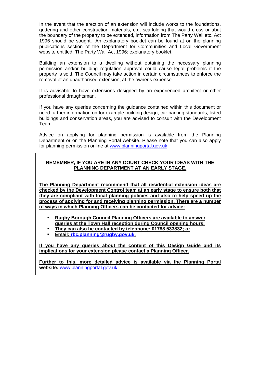In the event that the erection of an extension will include works to the foundations, guttering and other construction materials, e.g. scaffolding that would cross or abut the boundary of the property to be extended, information from The Party Wall etc. Act 1996 should be sought. An explanatory booklet can be found at on the planning publications section of the Department for Communities and Local Government website entitled: The Party Wall Act 1996: explanatory booklet.

Building an extension to a dwelling without obtaining the necessary planning permission and/or building regulation approval could cause legal problems if the property is sold. The Council may take action in certain circumstances to enforce the removal of an unauthorised extension, at the owner's expense.

It is advisable to have extensions designed by an experienced architect or other professional draughtsman.

If you have any queries concerning the guidance contained within this document or need further information on for example building design, car parking standards, listed buildings and conservation areas, you are advised to consult with the Development Team.

Advice on applying for planning permission is available from the Planning Department or on the Planning Portal website. Please note that you can also apply for planning permission online at www.planningportal.gov.uk

# **REMEMBER, IF YOU ARE IN ANY DOUBT CHECK YOUR IDEAS WITH THE PLANNING DEPARTMENT AT AN EARLY STAGE.**

**The Planning Department recommend that all residential extension ideas are checked by the Development Control team at an early stage to ensure both that they are compliant with local planning policies and also to help speed up the process of applying for and receiving planning permission. There are a number of ways in which Planning Officers can be contacted for advice:**

- **Rugby Borough Council Planning Officers are available to answer queries at the Town Hall reception during Council opening hours;**
- **They can also be contacted by telephone: 01788 533832; or**
- **Email: rbc.planning@rugby.gov.uk.**

**If you have any queries about the content of this Design Guide and its implications for your extension please contact a Planning Officer.** 

**Further to this, more detailed advice is available via the Planning Portal website:** www.planningportal.gov.uk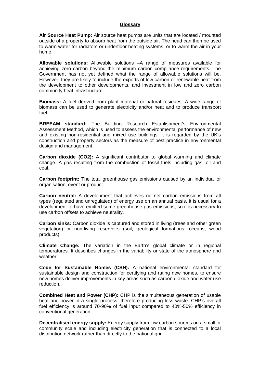## **Glossary**

**Air Source Heat Pump:** Air source heat pumps are units that are located / mounted outside of a property to absorb heat from the outside air. The head can then be used to warm water for radiators or underfloor heating systems, or to warm the air in your home.

**Allowable solutions:** Allowable solutions –A range of measures available for achieving zero carbon beyond the minimum carbon compliance requirements. The Government has not yet defined what the range of allowable solutions will be. However, they are likely to include the exports of low carbon or renewable heat from the development to other developments, and investment in low and zero carbon community heat infrastructure.

**Biomass:** A fuel derived from plant material or natural residues. A wide range of biomass can be used to generate electricity and/or heat and to produce transport fuel.

**BREEAM standard:** The Building Research Establishment's Environmental Assessment Method, which is used to assess the environmental performance of new and existing non-residential and mixed use buildings. It is regarded by the UK's construction and property sectors as the measure of best practice in environmental design and management.

**Carbon dioxide (CO2):** A significant contributor to global warming and climate change. A gas resulting from the combustion of fossil fuels including gas, oil and coal.

**Carbon footprint:** The total greenhouse gas emissions caused by an individual or organisation, event or product.

**Carbon neutral:** A development that achieves no net carbon emissions from all types (regulated and unregulated) of energy use on an annual basis. It is usual for a development to have emitted some greenhouse gas emissions, so it is necessary to use carbon offsets to achieve neutrality.

**Carbon sinks:** Carbon dioxide is captured and stored in living (trees and other green vegetation) or non-living reservoirs (soil, geological formations, oceans, wood products)

**Climate Change:** The variation in the Earth's global climate or in regional temperatures. It describes changes in the variability or state of the atmosphere and weather.

**Code for Sustainable Homes (CSH):** A national environmental standard for sustainable design and construction for certifying and rating new homes, to ensure new homes deliver improvements in key areas such as carbon dioxide and water use reduction.

**Combined Heat and Power (CHP):** CHP is the simultaneous generation of usable heat and power in a single process, therefore producing less waste. CHP's overall fuel efficiency is around 70-90% of fuel input compared to 40%-50% efficiency in conventional generation.

**Decentralised energy supply:** Energy supply from low carbon sources on a small or community scale and including electricity generation that is connected to a local distribution network rather than directly to the national grid.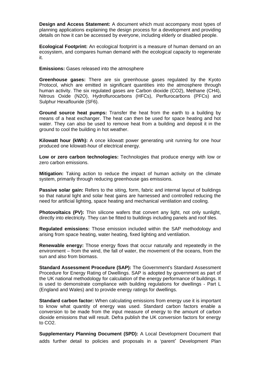**Design and Access Statement:** A document which must accompany most types of planning applications explaining the design process for a development and providing details on how it can be accessed by everyone, including elderly or disabled people.

**Ecological Footprint:** An ecological footprint is a measure of human demand on an ecosystem, and compares human demand with the ecological capacity to regenerate it.

**Emissions:** Gases released into the atmosphere

**Greenhouse gases:** There are six greenhouse gases regulated by the Kyoto Protocol, which are emitted in significant quantities into the atmosphere through human activity. The six regulated gases are Carbon dioxide (CO2), Methane (CH4), Nitrous Oxide (N2O), Hydroflurocarbons (HFCs), Perflurocarbons (PFCs) and Sulphur Hexaflouride (SF6).

**Ground source heat pumps:** Transfer the heat from the earth to a building by means of a heat exchanger. The heat can then be used for space heating and hot water. They can also be used to remove heat from a building and deposit it in the ground to cool the building in hot weather.

**Kilowatt hour (kWh):** A once kilowatt power generating unit running for one hour produced one kilowatt-hour of electrical energy.

**Low or zero carbon technologies:** Technologies that produce energy with low or zero carbon emissions.

**Mitigation:** Taking action to reduce the impact of human activity on the climate system, primarily through reducing greenhouse gas emissions.

**Passive solar gain:** Refers to the siting, form, fabric and internal layout of buildings so that natural light and solar heat gains are harnessed and controlled reducing the need for artificial lighting, space heating and mechanical ventilation and cooling.

**Photovoltaics (PV):** Thin silicone wafers that convert any light, not only sunlight, directly into electricity. They can be fitted to buildings including panels and roof tiles.

**Regulated emissions:** Those emission included within the SAP methodology and arising from space heating, water heating, fixed lighting and ventilation.

**Renewable energy:** Those energy flows that occur naturally and repeatedly in the environment – from the wind, the fall of water, the movement of the oceans, from the sun and also from biomass.

**Standard Assessment Procedure (SAP):** The Government's Standard Assessment Procedure for Energy Rating of Dwellings. SAP is adopted by government as part of the UK national methodology for calculation of the energy performance of buildings. It is used to demonstrate compliance with building regulations for dwellings - Part L (England and Wales) and to provide energy ratings for dwellings.

**Standard carbon factor:** When calculating emissions from energy use it is important to know what quantity of energy was used. Standard carbon factors enable a conversion to be made from the input measure of energy to the amount of carbon dioxide emissions that will result. Defra publish the UK conversion factors for energy to CO2.

**Supplementary Planning Document (SPD):** A Local Development Document that adds further detail to policies and proposals in a 'parent' Development Plan